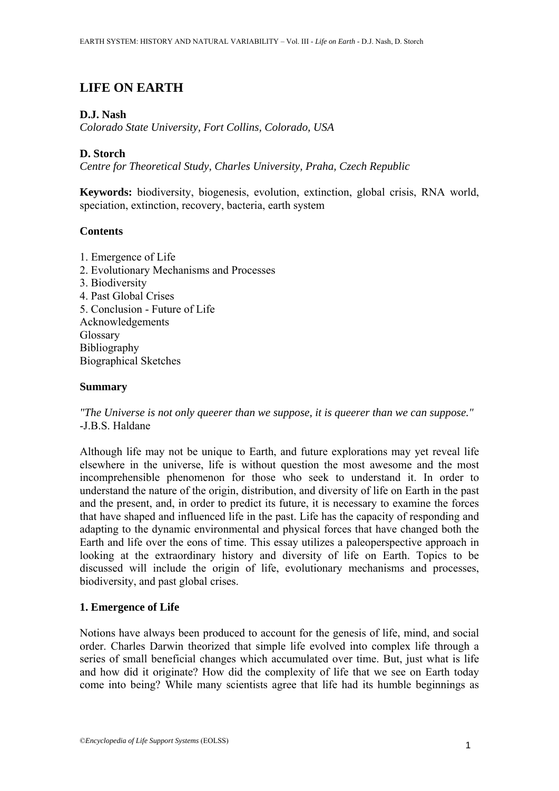# **LIFE ON EARTH**

# **D.J. Nash**

*Colorado State University, Fort Collins, Colorado, USA* 

# **D. Storch**

*Centre for Theoretical Study, Charles University, Praha, Czech Republic* 

**Keywords:** biodiversity, biogenesis, evolution, extinction, global crisis, RNA world, speciation, extinction, recovery, bacteria, earth system

## **Contents**

1. Emergence of Life 2. Evolutionary Mechanisms and Processes 3. Biodiversity 4. Past Global Crises 5. Conclusion - Future of Life Acknowledgements Glossary Bibliography Biographical Sketches

### **Summary**

*"The Universe is not only queerer than we suppose, it is queerer than we can suppose."*  -J.B.S. Haldane

Although life may not be unique to Earth, and future explorations may yet reveal life elsewhere in the universe, life is without question the most awesome and the most incomprehensible phenomenon for those who seek to understand it. In order to understand the nature of the origin, distribution, and diversity of life on Earth in the past and the present, and, in order to predict its future, it is necessary to examine the forces that have shaped and influenced life in the past. Life has the capacity of responding and adapting to the dynamic environmental and physical forces that have changed both the Earth and life over the eons of time. This essay utilizes a paleoperspective approach in looking at the extraordinary history and diversity of life on Earth. Topics to be discussed will include the origin of life, evolutionary mechanisms and processes, biodiversity, and past global crises.

# **1. Emergence of Life**

Notions have always been produced to account for the genesis of life, mind, and social order. Charles Darwin theorized that simple life evolved into complex life through a series of small beneficial changes which accumulated over time. But, just what is life and how did it originate? How did the complexity of life that we see on Earth today come into being? While many scientists agree that life had its humble beginnings as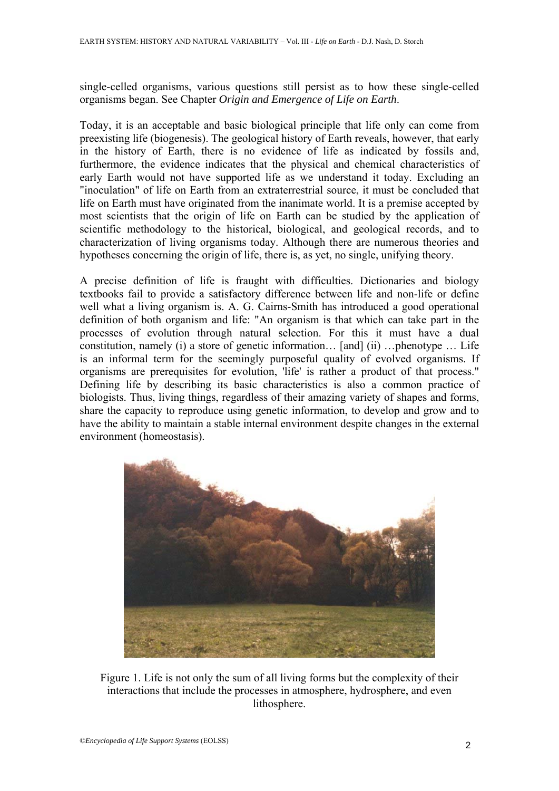single-celled organisms, various questions still persist as to how these single-celled organisms began. See Chapter *Origin and Emergence of Life on Earth*.

Today, it is an acceptable and basic biological principle that life only can come from preexisting life (biogenesis). The geological history of Earth reveals, however, that early in the history of Earth, there is no evidence of life as indicated by fossils and, furthermore, the evidence indicates that the physical and chemical characteristics of early Earth would not have supported life as we understand it today. Excluding an "inoculation" of life on Earth from an extraterrestrial source, it must be concluded that life on Earth must have originated from the inanimate world. It is a premise accepted by most scientists that the origin of life on Earth can be studied by the application of scientific methodology to the historical, biological, and geological records, and to characterization of living organisms today. Although there are numerous theories and hypotheses concerning the origin of life, there is, as yet, no single, unifying theory.

A precise definition of life is fraught with difficulties. Dictionaries and biology textbooks fail to provide a satisfactory difference between life and non-life or define well what a living organism is. A. G. Cairns-Smith has introduced a good operational definition of both organism and life: "An organism is that which can take part in the processes of evolution through natural selection. For this it must have a dual constitution, namely (i) a store of genetic information… [and] (ii) …phenotype … Life is an informal term for the seemingly purposeful quality of evolved organisms. If organisms are prerequisites for evolution, 'life' is rather a product of that process." Defining life by describing its basic characteristics is also a common practice of biologists. Thus, living things, regardless of their amazing variety of shapes and forms, share the capacity to reproduce using genetic information, to develop and grow and to have the ability to maintain a stable internal environment despite changes in the external environment (homeostasis).



Figure 1. Life is not only the sum of all living forms but the complexity of their interactions that include the processes in atmosphere, hydrosphere, and even lithosphere.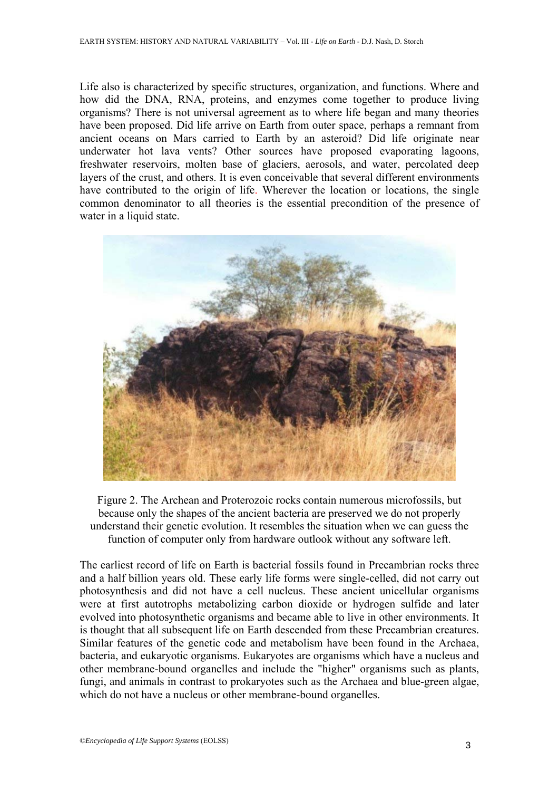Life also is characterized by specific structures, organization, and functions. Where and how did the DNA, RNA, proteins, and enzymes come together to produce living organisms? There is not universal agreement as to where life began and many theories have been proposed. Did life arrive on Earth from outer space, perhaps a remnant from ancient oceans on Mars carried to Earth by an asteroid? Did life originate near underwater hot lava vents? Other sources have proposed evaporating lagoons, freshwater reservoirs, molten base of glaciers, aerosols, and water, percolated deep layers of the crust, and others. It is even conceivable that several different environments have contributed to the origin of life. Wherever the location or locations, the single common denominator to all theories is the essential precondition of the presence of water in a liquid state.



Figure 2. The Archean and Proterozoic rocks contain numerous microfossils, but because only the shapes of the ancient bacteria are preserved we do not properly understand their genetic evolution. It resembles the situation when we can guess the function of computer only from hardware outlook without any software left.

The earliest record of life on Earth is bacterial fossils found in Precambrian rocks three and a half billion years old. These early life forms were single-celled, did not carry out photosynthesis and did not have a cell nucleus. These ancient unicellular organisms were at first autotrophs metabolizing carbon dioxide or hydrogen sulfide and later evolved into photosynthetic organisms and became able to live in other environments. It is thought that all subsequent life on Earth descended from these Precambrian creatures. Similar features of the genetic code and metabolism have been found in the Archaea, bacteria, and eukaryotic organisms. Eukaryotes are organisms which have a nucleus and other membrane-bound organelles and include the "higher" organisms such as plants, fungi, and animals in contrast to prokaryotes such as the Archaea and blue-green algae, which do not have a nucleus or other membrane-bound organelles.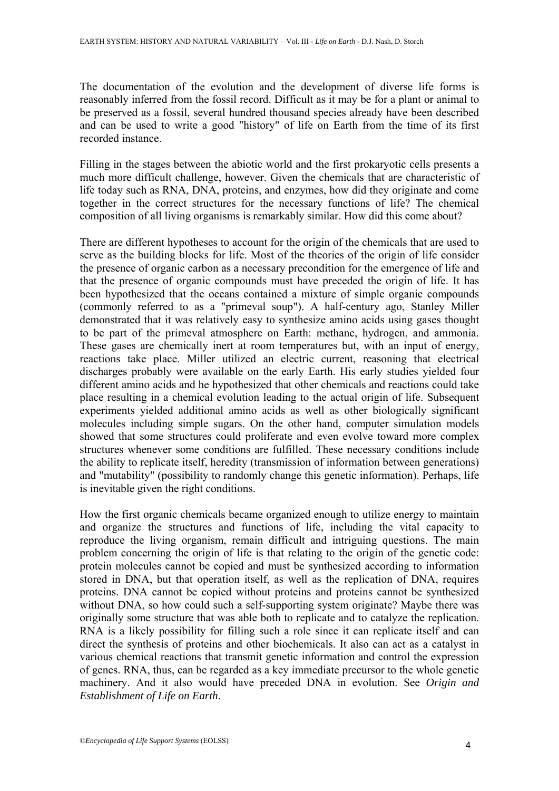The documentation of the evolution and the development of diverse life forms is reasonably inferred from the fossil record. Difficult as it may be for a plant or animal to be preserved as a fossil, several hundred thousand species already have been described and can be used to write a good "history" of life on Earth from the time of its first recorded instance.

Filling in the stages between the abiotic world and the first prokaryotic cells presents a much more difficult challenge, however. Given the chemicals that are characteristic of life today such as RNA, DNA, proteins, and enzymes, how did they originate and come together in the correct structures for the necessary functions of life? The chemical composition of all living organisms is remarkably similar. How did this come about?

There are different hypotheses to account for the origin of the chemicals that are used to serve as the building blocks for life. Most of the theories of the origin of life consider the presence of organic carbon as a necessary precondition for the emergence of life and that the presence of organic compounds must have preceded the origin of life. It has been hypothesized that the oceans contained a mixture of simple organic compounds (commonly referred to as a "primeval soup"). A half-century ago, Stanley Miller demonstrated that it was relatively easy to synthesize amino acids using gases thought to be part of the primeval atmosphere on Earth: methane, hydrogen, and ammonia. These gases are chemically inert at room temperatures but, with an input of energy, reactions take place. Miller utilized an electric current, reasoning that electrical discharges probably were available on the early Earth. His early studies yielded four different amino acids and he hypothesized that other chemicals and reactions could take place resulting in a chemical evolution leading to the actual origin of life. Subsequent experiments yielded additional amino acids as well as other biologically significant molecules including simple sugars. On the other hand, computer simulation models showed that some structures could proliferate and even evolve toward more complex structures whenever some conditions are fulfilled. These necessary conditions include the ability to replicate itself, heredity (transmission of information between generations) and "mutability" (possibility to randomly change this genetic information). Perhaps, life is inevitable given the right conditions.

How the first organic chemicals became organized enough to utilize energy to maintain and organize the structures and functions of life, including the vital capacity to reproduce the living organism, remain difficult and intriguing questions. The main problem concerning the origin of life is that relating to the origin of the genetic code: protein molecules cannot be copied and must be synthesized according to information stored in DNA, but that operation itself, as well as the replication of DNA, requires proteins. DNA cannot be copied without proteins and proteins cannot be synthesized without DNA, so how could such a self-supporting system originate? Maybe there was originally some structure that was able both to replicate and to catalyze the replication. RNA is a likely possibility for filling such a role since it can replicate itself and can direct the synthesis of proteins and other biochemicals. It also can act as a catalyst in various chemical reactions that transmit genetic information and control the expression of genes. RNA, thus, can be regarded as a key immediate precursor to the whole genetic machinery. And it also would have preceded DNA in evolution. See *Origin and Establishment of Life on Earth*.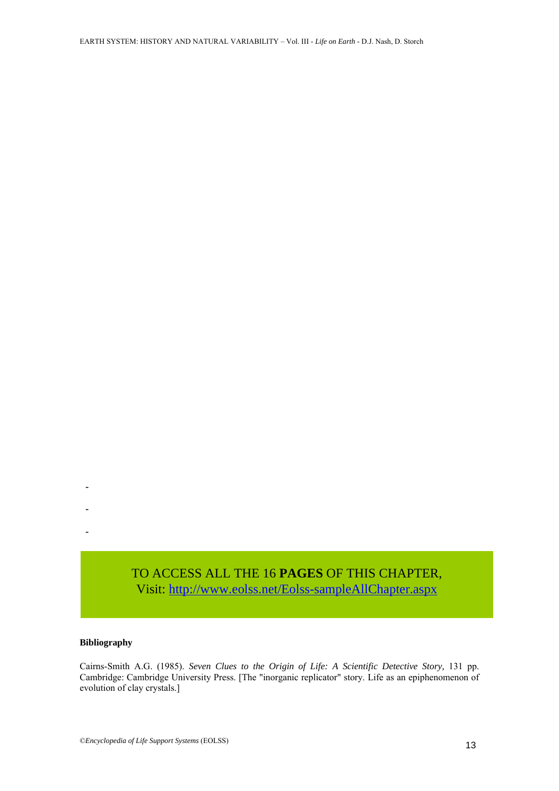Visit[: http://www.eolss.net/Eolss-sampleAllChapter.aspx](https://www.eolss.net/ebooklib/sc_cart.aspx?File=E1-01-05-00)

#### **Bibliography**

-

-

-

Cairns-Smith A.G. (1985). *Seven Clues to the Origin of Life: A Scientific Detective Story,* 131 pp. Cambridge: Cambridge University Press. [The "inorganic replicator" story. Life as an epiphenomenon of evolution of clay crystals.] TO ACCESS ALL THE 16 **PAGES** OF THIS CHAPTER,<br>
Visit: http://www.eolss.net/Eolss-sampleAllChapter.aspx<br>
Bibliography<br>
Cairns-Smith A.G. (1985). *Seven Clues to the Origin of Life: A Scientific Detective Story*, 131 pr<br>
Cam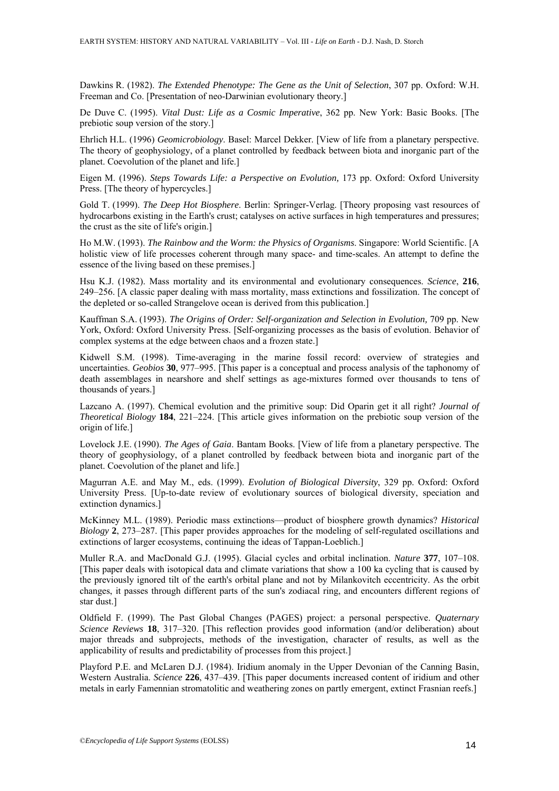Dawkins R. (1982). *The Extended Phenotype: The Gene as the Unit of Selection*, 307 pp. Oxford: W.H. Freeman and Co. [Presentation of neo-Darwinian evolutionary theory.]

De Duve C. (1995). *Vital Dust: Life as a Cosmic Imperative*, 362 pp. New York: Basic Books. [The prebiotic soup version of the story.]

Ehrlich H.L. (1996) *Geomicrobiology*. Basel: Marcel Dekker. [View of life from a planetary perspective. The theory of geophysiology, of a planet controlled by feedback between biota and inorganic part of the planet. Coevolution of the planet and life.]

Eigen M. (1996). *Steps Towards Life: a Perspective on Evolution,* 173 pp. Oxford: Oxford University Press. [The theory of hypercycles.]

Gold T. (1999). *The Deep Hot Biosphere*. Berlin: Springer-Verlag. [Theory proposing vast resources of hydrocarbons existing in the Earth's crust; catalyses on active surfaces in high temperatures and pressures; the crust as the site of life's origin.]

Ho M.W. (1993). *The Rainbow and the Worm: the Physics of Organisms*. Singapore: World Scientific. [A holistic view of life processes coherent through many space- and time-scales. An attempt to define the essence of the living based on these premises.]

Hsu K.J. (1982). Mass mortality and its environmental and evolutionary consequences. *Science*, **216**, 249–256. [A classic paper dealing with mass mortality, mass extinctions and fossilization. The concept of the depleted or so-called Strangelove ocean is derived from this publication.]

Kauffman S.A. (1993). *The Origins of Order: Self-organization and Selection in Evolution,* 709 pp. New York, Oxford: Oxford University Press. [Self-organizing processes as the basis of evolution. Behavior of complex systems at the edge between chaos and a frozen state.]

Kidwell S.M. (1998). Time-averaging in the marine fossil record: overview of strategies and uncertainties. *Geobios* **30**, 977–995. [This paper is a conceptual and process analysis of the taphonomy of death assemblages in nearshore and shelf settings as age-mixtures formed over thousands to tens of thousands of years.]

Lazcano A. (1997). Chemical evolution and the primitive soup: Did Oparin get it all right? *Journal of Theoretical Biology* **184**, 221–224. [This article gives information on the prebiotic soup version of the origin of life.]

Lovelock J.E. (1990). *The Ages of Gaia*. Bantam Books. [View of life from a planetary perspective. The theory of geophysiology, of a planet controlled by feedback between biota and inorganic part of the planet. Coevolution of the planet and life.]

Magurran A.E. and May M., eds. (1999). *Evolution of Biological Diversity*, 329 pp. Oxford: Oxford University Press. [Up-to-date review of evolutionary sources of biological diversity, speciation and extinction dynamics.]

McKinney M.L. (1989). Periodic mass extinctions—product of biosphere growth dynamics? *Historical Biology* **2**, 273–287. [This paper provides approaches for the modeling of self-regulated oscillations and extinctions of larger ecosystems, continuing the ideas of Tappan-Loeblich.]

Muller R.A. and MacDonald G.J. (1995). Glacial cycles and orbital inclination. *Nature* **377**, 107–108. [This paper deals with isotopical data and climate variations that show a 100 ka cycling that is caused by the previously ignored tilt of the earth's orbital plane and not by Milankovitch eccentricity. As the orbit changes, it passes through different parts of the sun's zodiacal ring, and encounters different regions of star dust.]

Oldfield F. (1999). The Past Global Changes (PAGES) project: a personal perspective. *Quaternary Science Reviews* **18**, 317–320. [This reflection provides good information (and/or deliberation) about major threads and subprojects, methods of the investigation, character of results, as well as the applicability of results and predictability of processes from this project.]

Playford P.E. and McLaren D.J. (1984). Iridium anomaly in the Upper Devonian of the Canning Basin, Western Australia. *Science* **226**, 437–439. [This paper documents increased content of iridium and other metals in early Famennian stromatolitic and weathering zones on partly emergent, extinct Frasnian reefs.]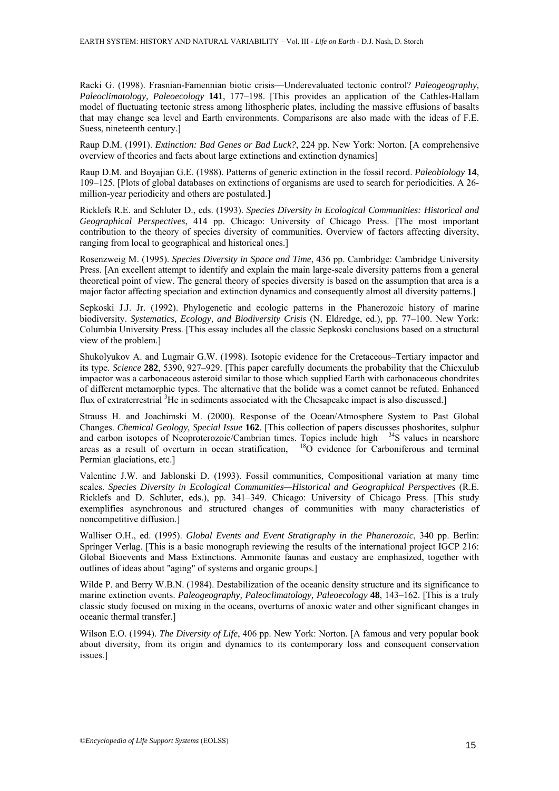Racki G. (1998). Frasnian-Famennian biotic crisis—Underevaluated tectonic control? *Paleogeography, Paleoclimatology, Paleoecology* **141**, 177–198. [This provides an application of the Cathles-Hallam model of fluctuating tectonic stress among lithospheric plates, including the massive effusions of basalts that may change sea level and Earth environments. Comparisons are also made with the ideas of F.E. Suess, nineteenth century.]

Raup D.M. (1991). *Extinction: Bad Genes or Bad Luck?*, 224 pp. New York: Norton. [A comprehensive overview of theories and facts about large extinctions and extinction dynamics]

Raup D.M. and Boyajian G.E. (1988). Patterns of generic extinction in the fossil record. *Paleobiology* **14**, 109–125. [Plots of global databases on extinctions of organisms are used to search for periodicities. A 26 million-year periodicity and others are postulated.]

Ricklefs R.E. and Schluter D., eds. (1993). *Species Diversity in Ecological Communities: Historical and Geographical Perspectives*, 414 pp. Chicago: University of Chicago Press. [The most important contribution to the theory of species diversity of communities. Overview of factors affecting diversity, ranging from local to geographical and historical ones.]

Rosenzweig M. (1995). *Species Diversity in Space and Time*, 436 pp. Cambridge: Cambridge University Press. [An excellent attempt to identify and explain the main large-scale diversity patterns from a general theoretical point of view. The general theory of species diversity is based on the assumption that area is a major factor affecting speciation and extinction dynamics and consequently almost all diversity patterns.]

Sepkoski J.J. Jr. (1992). Phylogenetic and ecologic patterns in the Phanerozoic history of marine biodiversity. *Systematics, Ecology, and Biodiversity Crisis* (N. Eldredge, ed.)*,* pp. 77–100. New York: Columbia University Press. [This essay includes all the classic Sepkoski conclusions based on a structural view of the problem.]

Shukolyukov A. and Lugmair G.W. (1998). Isotopic evidence for the Cretaceous–Tertiary impactor and its type. *Science* **282**, 5390, 927–929. [This paper carefully documents the probability that the Chicxulub impactor was a carbonaceous asteroid similar to those which supplied Earth with carbonaceous chondrites of different metamorphic types. The alternative that the bolide was a comet cannot be refuted. Enhanced flux of extraterrestrial <sup>3</sup>He in sediments associated with the Chesapeake impact is also discussed.]

Strauss H. and Joachimski M. (2000). Response of the Ocean/Atmosphere System to Past Global Changes. *Chemical Geology, Special Issue* **162**. [This collection of papers discusses phoshorites, sulphur and carbon isotopes of Neoproterozoic/Cambrian times. Topics include high <sup>34</sup>S values in nearshore<br>areas as a result of overturn in ocean stratification. <sup>18</sup>O evidence for Carboniferous and terminal  $18\overrightarrow{O}$  evidence for Carboniferous and terminal Permian glaciations, etc.]

Valentine J.W. and Jablonski D. (1993). Fossil communities, Compositional variation at many time scales. *Species Diversity in Ecological Communities—Historical and Geographical Perspectives* (R.E. Ricklefs and D. Schluter, eds.), pp. 341–349. Chicago: University of Chicago Press. [This study exemplifies asynchronous and structured changes of communities with many characteristics of noncompetitive diffusion.]

Walliser O.H., ed. (1995). *Global Events and Event Stratigraphy in the Phanerozoic*, 340 pp. Berlin: Springer Verlag. [This is a basic monograph reviewing the results of the international project IGCP 216: Global Bioevents and Mass Extinctions. Ammonite faunas and eustacy are emphasized, together with outlines of ideas about "aging" of systems and organic groups.]

Wilde P. and Berry W.B.N. (1984). Destabilization of the oceanic density structure and its significance to marine extinction events. *Paleogeography, Paleoclimatology, Paleoecology* **48**, 143–162. [This is a truly classic study focused on mixing in the oceans, overturns of anoxic water and other significant changes in oceanic thermal transfer.]

Wilson E.O. (1994). *The Diversity of Life*, 406 pp. New York: Norton. [A famous and very popular book about diversity, from its origin and dynamics to its contemporary loss and consequent conservation issues.]